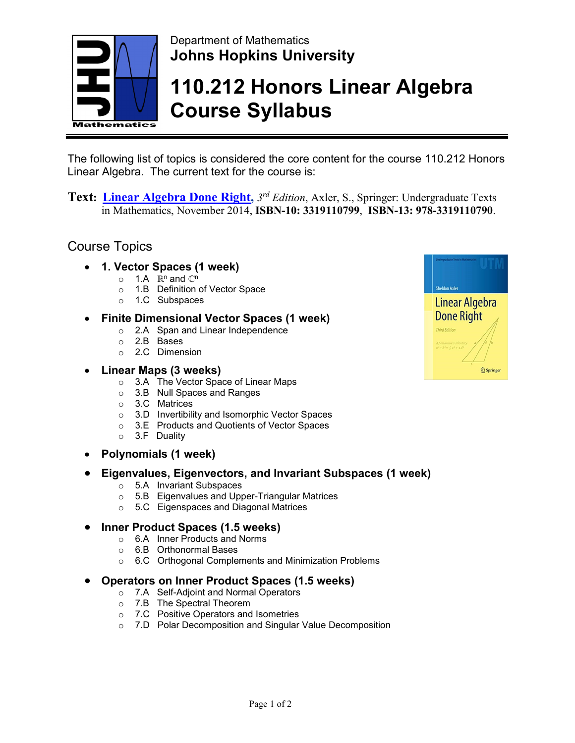

## Department of Mathematics **Johns Hopkins University**

# **110.212 Honors Linear Algebra Course Syllabus**

The following list of topics is considered the core content for the course 110.212 Honors Linear Algebra. The current text for the course is:

**Text: [Linear](http://www.stewartcalculus.com/media/8_home.php) Algebra Done Right,** *3rd Edition*, Axler, S., Springer: Undergraduate Texts in Mathematics, November 2014, **ISBN-10: 3319110799**, **ISBN-13: 978-3319110790**.

### Course Topics

- **1. Vector Spaces (1 week)**
	- o 1.A *ℝ*<sup>n</sup> and *ℂ*<sup>n</sup>
	- o 1.B Definition of Vector Space
	- o 1.C Subspaces

#### • **Finite Dimensional Vector Spaces (1 week)**

- o 2.A Span and Linear Independence
- o 2.B Bases
- o 2.C Dimension
- **Linear Maps (3 weeks)**
	- o 3.A The Vector Space of Linear Maps
	- o 3.B Null Spaces and Ranges
	- o 3.C Matrices
	- o 3.D Invertibility and Isomorphic Vector Spaces
	- o 3.E Products and Quotients of Vector Spaces
	- o 3.F Duality
- **Polynomials (1 week)**

#### • **Eigenvalues, Eigenvectors, and Invariant Subspaces (1 week)**

- o 5.A Invariant Subspaces
- o 5.B Eigenvalues and Upper-Triangular Matrices
- o 5.C Eigenspaces and Diagonal Matrices

#### • **Inner Product Spaces (1.5 weeks)**

- o 6.A Inner Products and Norms
	- o 6.B Orthonormal Bases
	- o 6.C Orthogonal Complements and Minimization Problems

#### • **Operators on Inner Product Spaces (1.5 weeks)**

- o 7.A Self-Adjoint and Normal Operators
- o 7.B The Spectral Theorem
- o 7.C Positive Operators and Isometries
- o 7.D Polar Decomposition and Singular Value Decomposition